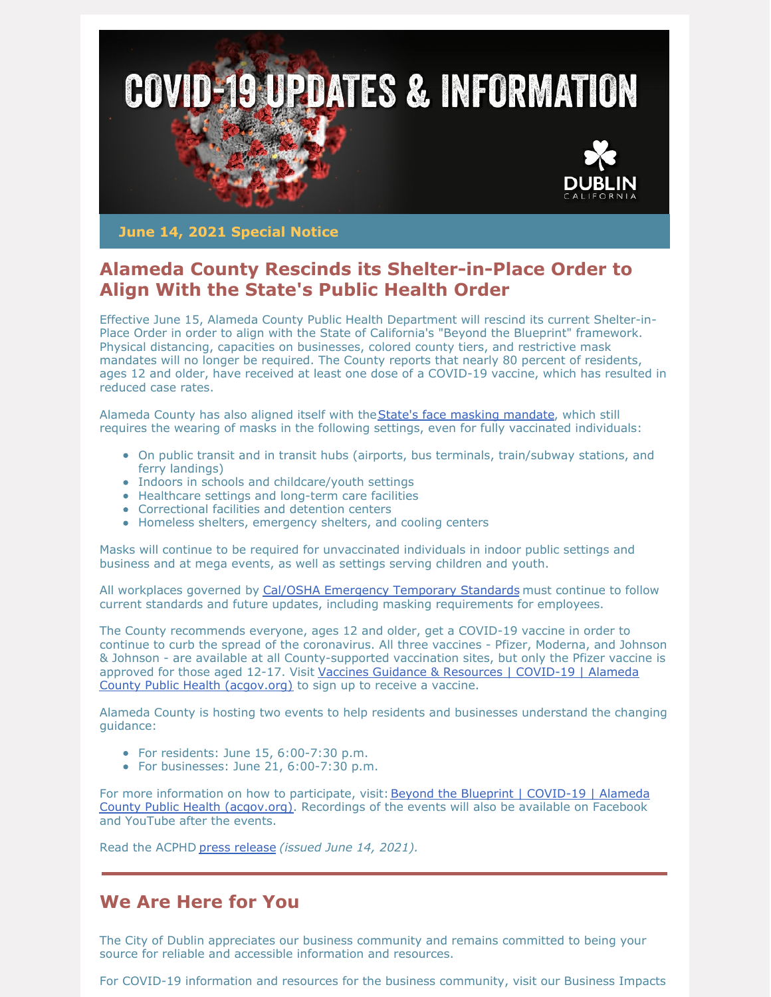

**June 14, 2021 Special Notice**

## **Alameda County Rescinds its Shelter-in-Place Order to Align With the State's Public Health Order**

Effective June 15, Alameda County Public Health Department will rescind its current Shelter-in-Place Order in order to align with the State of California's "Beyond the Blueprint" framework. Physical distancing, capacities on businesses, colored county tiers, and restrictive mask mandates will no longer be required. The County reports that nearly 80 percent of residents, ages 12 and older, have received at least one dose of a COVID-19 vaccine, which has resulted in reduced case rates.

Alameda County has also aligned itself with the State's face masking [mandate](https://www.cdph.ca.gov/Programs/CID/DCDC/Pages/COVID-19/guidance-for-face-coverings.aspx), which still requires the wearing of masks in the following settings, even for fully vaccinated individuals:

- On public transit and in transit hubs (airports, bus terminals, train/subway stations, and ferry landings)
- Indoors in schools and childcare/youth settings
- Healthcare settings and long-term care facilities
- Correctional facilities and detention centers
- Homeless shelters, emergency shelters, and cooling centers

Masks will continue to be required for unvaccinated individuals in indoor public settings and business and at mega events, as well as settings serving children and youth.

All workplaces governed by Cal/OSHA [Emergency](https://www.dir.ca.gov/dosh/coronavirus/) Temporary Standards must continue to follow current standards and future updates, including masking requirements for employees.

The County recommends everyone, ages 12 and older, get a COVID-19 vaccine in order to continue to curb the spread of the coronavirus. All three vaccines - Pfizer, Moderna, and Johnson & Johnson - are available at all County-supported vaccination sites, but only the Pfizer vaccine is approved for those aged 12-17. Visit Vaccines Guidance & Resources | COVID-19 | Alameda County Public Health [\(acgov.org\)](https://covid-19.acgov.org/vaccines) to sign up to receive a vaccine.

Alameda County is hosting two events to help residents and businesses understand the changing guidance:

- $\bullet$  For residents: June 15, 6:00-7:30 p.m.
- For businesses: June 21, 6:00-7:30 p.m.

For more information on how to participate, visit: Beyond the Blueprint | COVID-19 | Alameda County Public Health (acgov.org). Recordings of the events will also be available on Facebook and YouTube after the events.

Read the ACPHD press [release](https://covid-19.acgov.org/covid19-assets/docs/press/press-release-2021.06.14.pdf) *(issued June 14, 2021).*

## **We Are Here for You**

The City of Dublin appreciates our business community and remains committed to being your source for reliable and accessible information and resources.

For COVID-19 information and resources for the business community, visit our Business Impacts